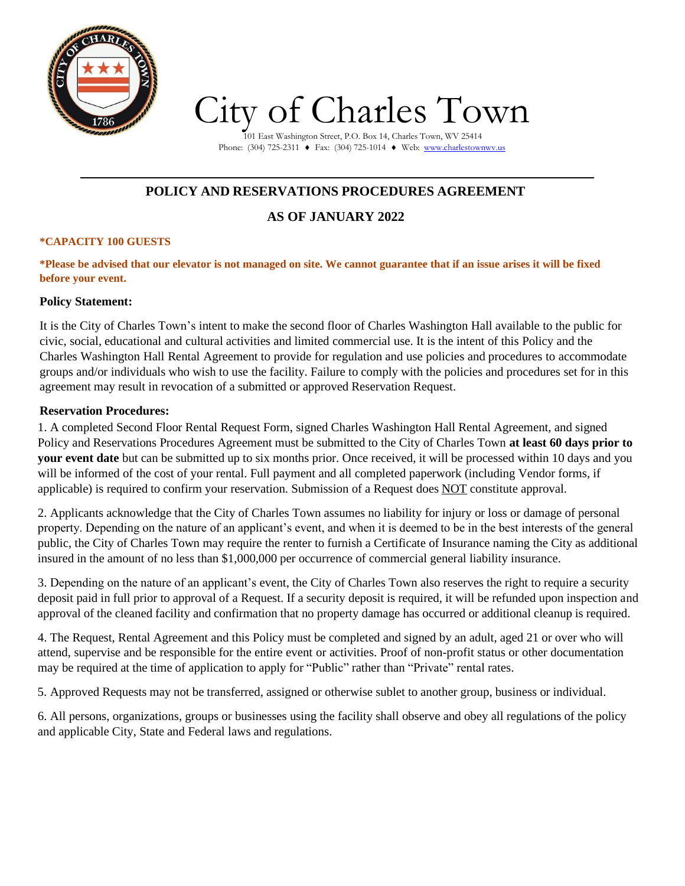

# City of Charles Town

101 East Washington Street, P.O. Box 14, Charles Town, WV 25414 Phone: (304) 725-2311 ♦ Fax: (304) 725-1014 ♦ Web: [www.charlestownwv.us](http://www.charlestownwv.us/)

# **POLICY AND RESERVATIONS PROCEDURES AGREEMENT**

# **AS OF JANUARY 2022**

#### **\*CAPACITY 100 GUESTS**

\*Please be advised that our elevator is not managed on site. We cannot guarantee that if an issue arises it will be fixed **before your event.**

#### **Policy Statement:**

It is the City of Charles Town's intent to make the second floor of Charles Washington Hall available to the public for civic, social, educational and cultural activities and limited commercial use. It is the intent of this Policy and the Charles Washington Hall Rental Agreement to provide for regulation and use policies and procedures to accommodate groups and/or individuals who wish to use the facility. Failure to comply with the policies and procedures set for in this agreement may result in revocation of a submitted or approved Reservation Request.

#### **Reservation Procedures:**

1. A completed Second Floor Rental Request Form, signed Charles Washington Hall Rental Agreement, and signed Policy and Reservations Procedures Agreement must be submitted to the City of Charles Town **at least 60 days prior to your event date** but can be submitted up to six months prior. Once received, it will be processed within 10 days and you will be informed of the cost of your rental. Full payment and all completed paperwork (including Vendor forms, if applicable) is required to confirm your reservation. Submission of a Request does NOT constitute approval.

2. Applicants acknowledge that the City of Charles Town assumes no liability for injury or loss or damage of personal property. Depending on the nature of an applicant's event, and when it is deemed to be in the best interests of the general public, the City of Charles Town may require the renter to furnish a Certificate of Insurance naming the City as additional insured in the amount of no less than \$1,000,000 per occurrence of commercial general liability insurance.

3. Depending on the nature of an applicant's event, the City of Charles Town also reserves the right to require a security deposit paid in full prior to approval of a Request. If a security deposit is required, it will be refunded upon inspection and approval of the cleaned facility and confirmation that no property damage has occurred or additional cleanup is required.

4. The Request, Rental Agreement and this Policy must be completed and signed by an adult, aged 21 or over who will attend, supervise and be responsible for the entire event or activities. Proof of non-profit status or other documentation may be required at the time of application to apply for "Public" rather than "Private" rental rates.

5. Approved Requests may not be transferred, assigned or otherwise sublet to another group, business or individual.

6. All persons, organizations, groups or businesses using the facility shall observe and obey all regulations of the policy and applicable City, State and Federal laws and regulations.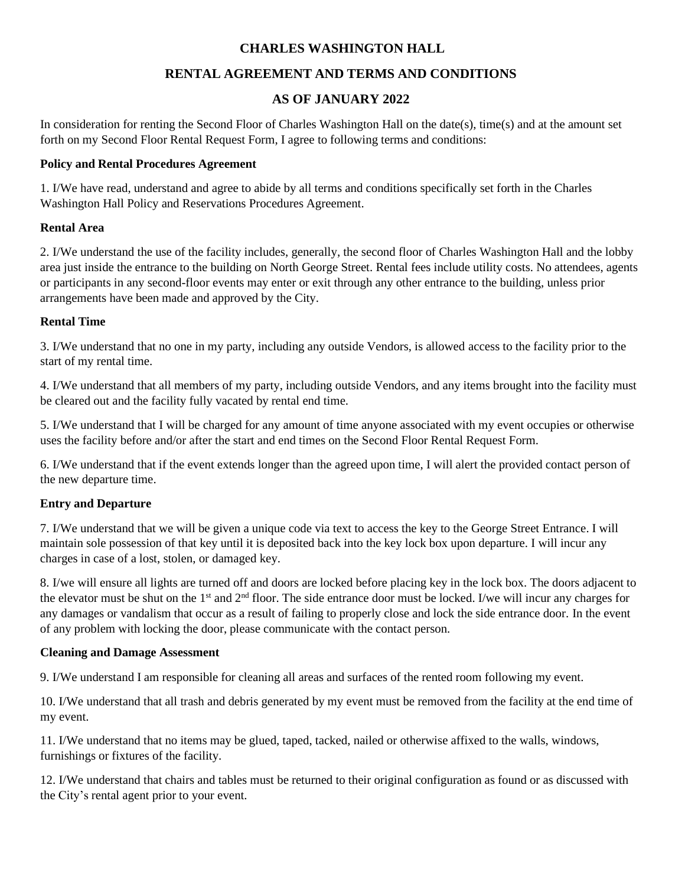### **CHARLES WASHINGTON HALL**

## **RENTAL AGREEMENT AND TERMS AND CONDITIONS**

### **AS OF JANUARY 2022**

In consideration for renting the Second Floor of Charles Washington Hall on the date(s), time(s) and at the amount set forth on my Second Floor Rental Request Form, I agree to following terms and conditions:

#### **Policy and Rental Procedures Agreement**

1. I/We have read, understand and agree to abide by all terms and conditions specifically set forth in the Charles Washington Hall Policy and Reservations Procedures Agreement.

#### **Rental Area**

2. I/We understand the use of the facility includes, generally, the second floor of Charles Washington Hall and the lobby area just inside the entrance to the building on North George Street. Rental fees include utility costs. No attendees, agents or participants in any second-floor events may enter or exit through any other entrance to the building, unless prior arrangements have been made and approved by the City.

#### **Rental Time**

3. I/We understand that no one in my party, including any outside Vendors, is allowed access to the facility prior to the start of my rental time.

4. I/We understand that all members of my party, including outside Vendors, and any items brought into the facility must be cleared out and the facility fully vacated by rental end time.

5. I/We understand that I will be charged for any amount of time anyone associated with my event occupies or otherwise uses the facility before and/or after the start and end times on the Second Floor Rental Request Form.

6. I/We understand that if the event extends longer than the agreed upon time, I will alert the provided contact person of the new departure time.

#### **Entry and Departure**

7. I/We understand that we will be given a unique code via text to access the key to the George Street Entrance. I will maintain sole possession of that key until it is deposited back into the key lock box upon departure. I will incur any charges in case of a lost, stolen, or damaged key.

8. I/we will ensure all lights are turned off and doors are locked before placing key in the lock box. The doors adjacent to the elevator must be shut on the  $1<sup>st</sup>$  and  $2<sup>nd</sup>$  floor. The side entrance door must be locked. I/we will incur any charges for any damages or vandalism that occur as a result of failing to properly close and lock the side entrance door. In the event of any problem with locking the door, please communicate with the contact person.

#### **Cleaning and Damage Assessment**

9. I/We understand I am responsible for cleaning all areas and surfaces of the rented room following my event.

10. I/We understand that all trash and debris generated by my event must be removed from the facility at the end time of my event.

11. I/We understand that no items may be glued, taped, tacked, nailed or otherwise affixed to the walls, windows, furnishings or fixtures of the facility.

12. I/We understand that chairs and tables must be returned to their original configuration as found or as discussed with the City's rental agent prior to your event.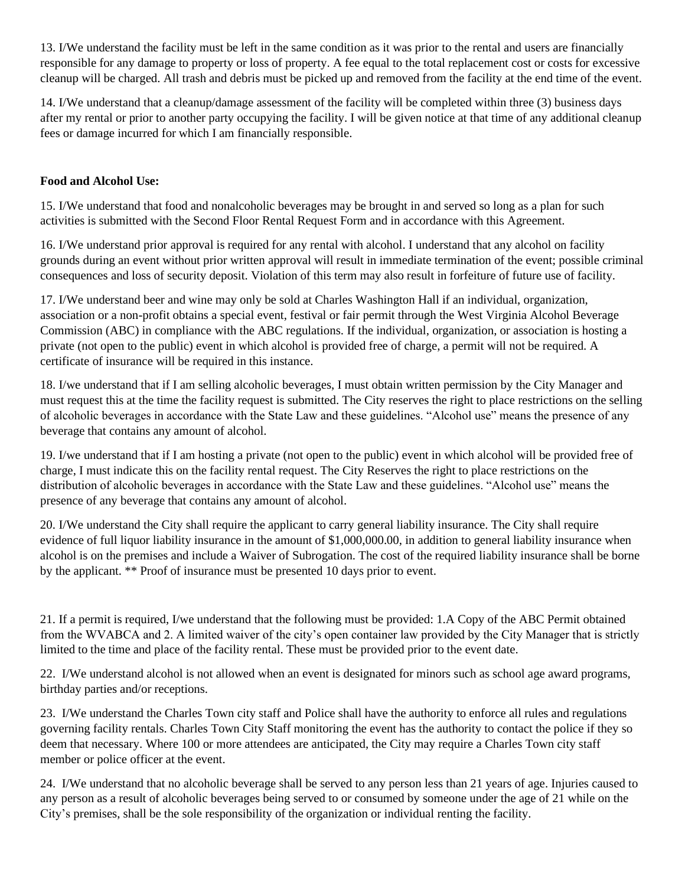13. I/We understand the facility must be left in the same condition as it was prior to the rental and users are financially responsible for any damage to property or loss of property. A fee equal to the total replacement cost or costs for excessive cleanup will be charged. All trash and debris must be picked up and removed from the facility at the end time of the event.

14. I/We understand that a cleanup/damage assessment of the facility will be completed within three (3) business days after my rental or prior to another party occupying the facility. I will be given notice at that time of any additional cleanup fees or damage incurred for which I am financially responsible.

#### **Food and Alcohol Use:**

15. I/We understand that food and nonalcoholic beverages may be brought in and served so long as a plan for such activities is submitted with the Second Floor Rental Request Form and in accordance with this Agreement.

16. I/We understand prior approval is required for any rental with alcohol. I understand that any alcohol on facility grounds during an event without prior written approval will result in immediate termination of the event; possible criminal consequences and loss of security deposit. Violation of this term may also result in forfeiture of future use of facility.

17. I/We understand beer and wine may only be sold at Charles Washington Hall if an individual, organization, association or a non-profit obtains a special event, festival or fair permit through the West Virginia Alcohol Beverage Commission (ABC) in compliance with the ABC regulations. If the individual, organization, or association is hosting a private (not open to the public) event in which alcohol is provided free of charge, a permit will not be required. A certificate of insurance will be required in this instance.

18. I/we understand that if I am selling alcoholic beverages, I must obtain written permission by the City Manager and must request this at the time the facility request is submitted. The City reserves the right to place restrictions on the selling of alcoholic beverages in accordance with the State Law and these guidelines. "Alcohol use" means the presence of any beverage that contains any amount of alcohol.

19. I/we understand that if I am hosting a private (not open to the public) event in which alcohol will be provided free of charge, I must indicate this on the facility rental request. The City Reserves the right to place restrictions on the distribution of alcoholic beverages in accordance with the State Law and these guidelines. "Alcohol use" means the presence of any beverage that contains any amount of alcohol.

20. I/We understand the City shall require the applicant to carry general liability insurance. The City shall require evidence of full liquor liability insurance in the amount of \$1,000,000.00, in addition to general liability insurance when alcohol is on the premises and include a Waiver of Subrogation. The cost of the required liability insurance shall be borne by the applicant. \*\* Proof of insurance must be presented 10 days prior to event.

21. If a permit is required, I/we understand that the following must be provided: 1.A Copy of the ABC Permit obtained from the WVABCA and 2. A limited waiver of the city's open container law provided by the City Manager that is strictly limited to the time and place of the facility rental. These must be provided prior to the event date.

22. I/We understand alcohol is not allowed when an event is designated for minors such as school age award programs, birthday parties and/or receptions.

23. I/We understand the Charles Town city staff and Police shall have the authority to enforce all rules and regulations governing facility rentals. Charles Town City Staff monitoring the event has the authority to contact the police if they so deem that necessary. Where 100 or more attendees are anticipated, the City may require a Charles Town city staff member or police officer at the event.

24. I/We understand that no alcoholic beverage shall be served to any person less than 21 years of age. Injuries caused to any person as a result of alcoholic beverages being served to or consumed by someone under the age of 21 while on the City's premises, shall be the sole responsibility of the organization or individual renting the facility.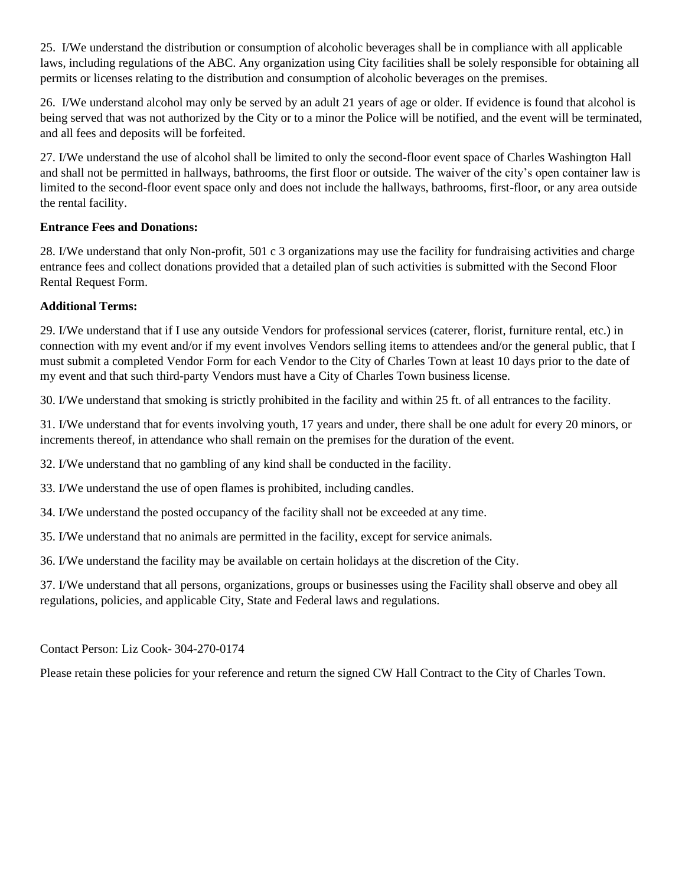25. I/We understand the distribution or consumption of alcoholic beverages shall be in compliance with all applicable laws, including regulations of the ABC. Any organization using City facilities shall be solely responsible for obtaining all permits or licenses relating to the distribution and consumption of alcoholic beverages on the premises.

26. I/We understand alcohol may only be served by an adult 21 years of age or older. If evidence is found that alcohol is being served that was not authorized by the City or to a minor the Police will be notified, and the event will be terminated, and all fees and deposits will be forfeited.

27. I/We understand the use of alcohol shall be limited to only the second-floor event space of Charles Washington Hall and shall not be permitted in hallways, bathrooms, the first floor or outside. The waiver of the city's open container law is limited to the second-floor event space only and does not include the hallways, bathrooms, first-floor, or any area outside the rental facility.

#### **Entrance Fees and Donations:**

28. I/We understand that only Non-profit, 501 c 3 organizations may use the facility for fundraising activities and charge entrance fees and collect donations provided that a detailed plan of such activities is submitted with the Second Floor Rental Request Form.

#### **Additional Terms:**

29. I/We understand that if I use any outside Vendors for professional services (caterer, florist, furniture rental, etc.) in connection with my event and/or if my event involves Vendors selling items to attendees and/or the general public, that I must submit a completed Vendor Form for each Vendor to the City of Charles Town at least 10 days prior to the date of my event and that such third-party Vendors must have a City of Charles Town business license.

30. I/We understand that smoking is strictly prohibited in the facility and within 25 ft. of all entrances to the facility.

31. I/We understand that for events involving youth, 17 years and under, there shall be one adult for every 20 minors, or increments thereof, in attendance who shall remain on the premises for the duration of the event.

32. I/We understand that no gambling of any kind shall be conducted in the facility.

33. I/We understand the use of open flames is prohibited, including candles.

34. I/We understand the posted occupancy of the facility shall not be exceeded at any time.

35. I/We understand that no animals are permitted in the facility, except for service animals.

36. I/We understand the facility may be available on certain holidays at the discretion of the City.

37. I/We understand that all persons, organizations, groups or businesses using the Facility shall observe and obey all regulations, policies, and applicable City, State and Federal laws and regulations.

Contact Person: Liz Cook- 304-270-0174

Please retain these policies for your reference and return the signed CW Hall Contract to the City of Charles Town.